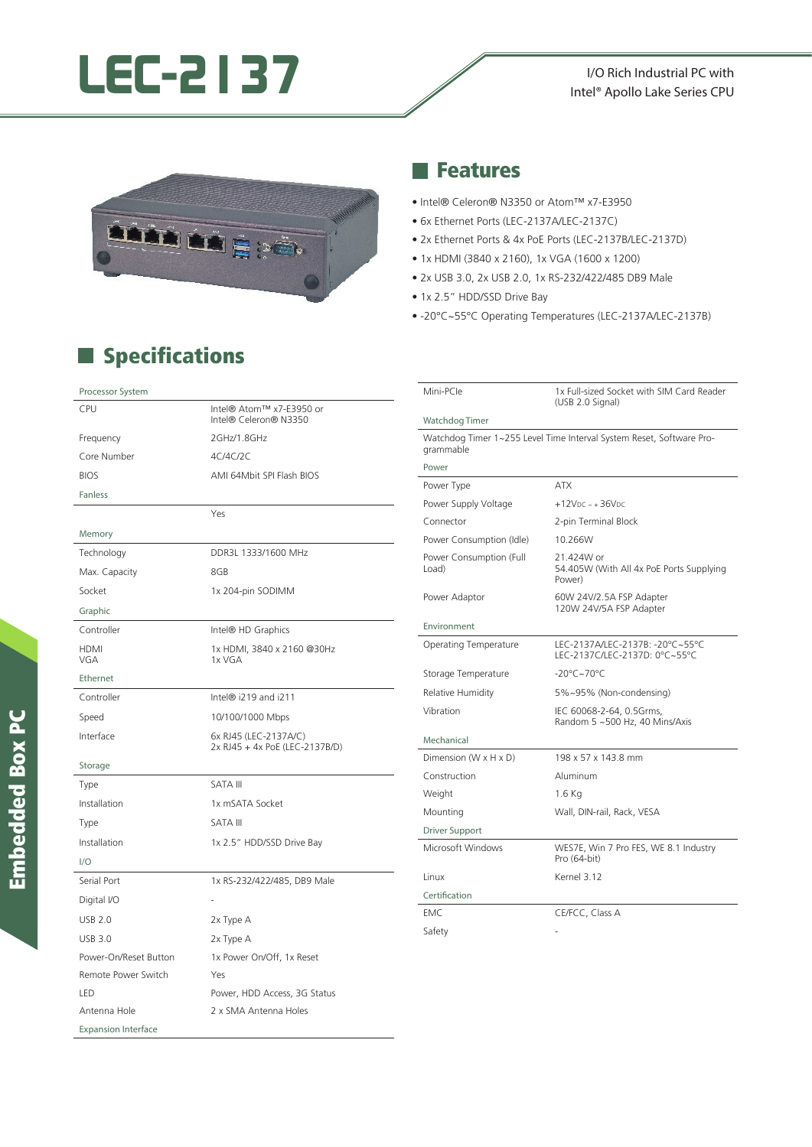# **LEC-2137** I/O Rich Industrial PC with

### Intel® Apollo Lake Series CPU



#### **Specifications**

#### **Reatures**

- Intel® Celeron® N3350 or Atom™ x7-E3950
- 6x Ethernet Ports (LEC-2137A/LEC-2137C)
- 2x Ethernet Ports & 4x PoE Ports (LEC-2137B/LEC-2137D)
- 1x HDMI (3840 x 2160), 1x VGA (1600 x 1200)
- 2x USB 3.0, 2x USB 2.0, 1x RS-232/422/485 DB9 Male
- 1x 2.5" HDD/SSD Drive Bay
- -20°C~55°C Operating Temperatures (LEC-2137A/LEC-2137B)

| Mini-PCle                                                                         | 1x Full-sized Socket with SIM Card Reader<br>(USB 2.0 Signal)    |  |
|-----------------------------------------------------------------------------------|------------------------------------------------------------------|--|
| Watchdog Timer                                                                    |                                                                  |  |
| Watchdog Timer 1~255 Level Time Interval System Reset, Software Pro-<br>grammable |                                                                  |  |
| Power                                                                             |                                                                  |  |
| Power Type                                                                        | <b>ATX</b>                                                       |  |
| Power Supply Voltage                                                              | $+12VDC - +36VDC$                                                |  |
| Connector                                                                         | 2-pin Terminal Block                                             |  |
| Power Consumption (Idle)                                                          | 10.266W                                                          |  |
| Power Consumption (Full<br>Load)                                                  | 21.424W or<br>54.405W (With All 4x PoE Ports Supplying<br>Power) |  |
| Power Adaptor                                                                     | 60W 24V/2.5A FSP Adapter<br>120W 24V/5A FSP Adapter              |  |
| Environment                                                                       |                                                                  |  |
| <b>Operating Temperature</b>                                                      | LEC-2137A/LEC-2137B: -20°C~55°C<br>LEC-2137C/LEC-2137D: 0°C~55°C |  |
| Storage Temperature                                                               | $-20^{\circ}$ C $\sim$ 70 $^{\circ}$ C                           |  |
| Relative Humidity                                                                 | 5%~95% (Non-condensing)                                          |  |
| Vibration                                                                         | IEC 60068-2-64, 0.5Grms,<br>Random 5 ~500 Hz, 40 Mins/Axis       |  |
| Mechanical                                                                        |                                                                  |  |
| Dimension (W x H x D)                                                             | 198 x 57 x 143.8 mm                                              |  |
| Construction                                                                      | Aluminum                                                         |  |
| Weight                                                                            | 1.6 Kg                                                           |  |
| Mounting                                                                          | Wall, DIN-rail, Rack, VESA                                       |  |
| <b>Driver Support</b>                                                             |                                                                  |  |
| Microsoft Windows                                                                 | WES7E, Win 7 Pro FES, WE 8.1 Industry<br>Pro (64-bit)            |  |
| Linux                                                                             | Kernel 3.12                                                      |  |
| Certification                                                                     |                                                                  |  |
| EMC                                                                               | CE/FCC, Class A                                                  |  |
| Safety                                                                            |                                                                  |  |

| <b>CPU</b>                 | Intel® Atom™ x7-E3950 or<br>Intel® Celeron® N3350       |
|----------------------------|---------------------------------------------------------|
| Frequency                  | 2GHz/1.8GHz                                             |
| Core Number                | 4C/4C/2C                                                |
| <b>BIOS</b>                | AMI 64Mbit SPI Flash BIOS                               |
| <b>Fanless</b>             |                                                         |
|                            | Yes                                                     |
| Memory                     |                                                         |
| Technology                 | DDR3L 1333/1600 MHz                                     |
| Max. Capacity              | 8GB                                                     |
| Socket                     | 1x 204-pin SODIMM                                       |
| Graphic                    |                                                         |
| Controller                 | Intel® HD Graphics                                      |
| <b>HDMI</b><br>VGA         | 1x HDMI, 3840 x 2160 @30Hz<br>1x VGA                    |
| Ethernet                   |                                                         |
| Controller                 | Intel® i219 and i211                                    |
| Speed                      | 10/100/1000 Mbps                                        |
| Interface                  | 6x RJ45 (LEC-2137A/C)<br>2x RJ45 + 4x PoE (LEC-2137B/D) |
| Storage                    |                                                         |
| Type                       | <b>SATA III</b>                                         |
| Installation               | 1x mSATA Socket                                         |
| Type                       | <b>SATA III</b>                                         |
| Installation               | 1x 2.5" HDD/SSD Drive Bay                               |
| 1/O                        |                                                         |
| Serial Port                | 1x RS-232/422/485, DB9 Male                             |
| Digital I/O                |                                                         |
| <b>USB 2.0</b>             | 2x Type A                                               |
| <b>USB 3.0</b>             | 2x Type A                                               |
| Power-On/Reset Button      | 1x Power On/Off, 1x Reset                               |
| Remote Power Switch        | Yes                                                     |
| LED                        | Power, HDD Access, 3G Status                            |
| Antenna Hole               | 2 x SMA Antenna Holes                                   |
| <b>Expansion Interface</b> |                                                         |

Processor System